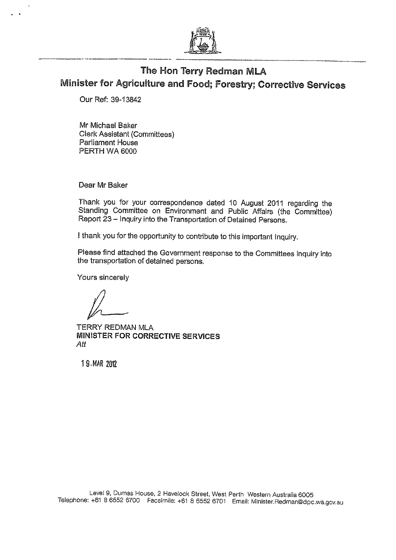

## The Hon Terry Redman MLA Minister for Agriculture and Food; Forestry; Corrective Services

Our Ref: 39-13842

Mr Michael Baker Clerk Assistant (Committees) Parliament House PERTH WA 6000

Dear Mr Baker

Thank you for your correspondence dated 10 August 2011 regarding the Standing Committee on Environment and Public Affairs (the Committee) Report 23 - Inquiry into the Transportation of Detained Persons.

I thank you for the opportunity to contribute to this important Inquiry.

Please find attached the Government response to the Committees Inquiry into the transportation of detained persons.

Yours sincerely

TERRY REDMAN MLA MINISTER FOR CORRECTIVE SERVICES Att

1 9,MAR 2012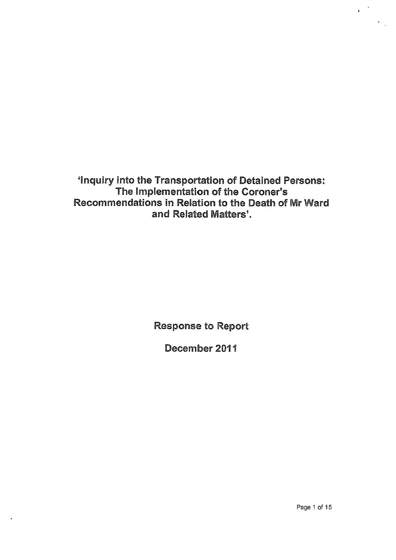`Inquiry into the Transportation of Detained Persons: The Implementation of the Coroner's Recommendations in Relation to the Death of Mr Ward and Related Matters'.

Response to Report

December 2011

 $\mathbf{r}$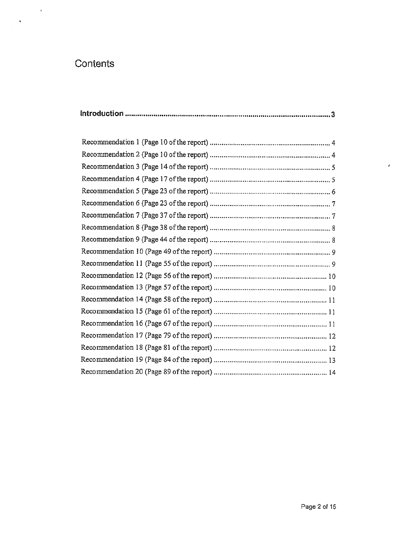# **Contents**

 $\pmb{\cdot}$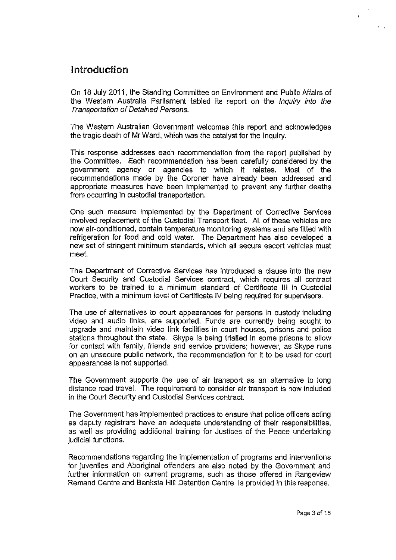## Introduction

On 18 July 2011, the Standing Committee on Environment and Public Affairs of the Western Australia Parliament tabled its report on the Inquiry into the Transportation of Detained Persons.

The Western Australian Government welcomes this report and acknowledges the tragic death of Mr Ward, which was the catalyst for the Inquiry.

This response addresses each recommendation from the report published by the Committee. Each recommendation has been carefully considered by the government agency or agencies to which it relates. Most of the recommendations made by the Coroner have already been addressed and appropriate measures have been implemented to prevent any further deaths from occurring in custodial transportation.

One such measure implemented by the Department of Corrective Services involved replacement of the Custodial Transport fleet. All of these vehicles are now air-conditioned, contain temperature monitoring systems and are fitted with refrigeration for food and cold water. The Department has also developed a new set of stringent minimum standards, which all secure escort vehicles must meet.

The Department of Corrective Services has introduced a clause into the new Court Security and Custodial Services contract, which requires all contract workers to be trained to a minimum standard of Certificate III in Custodial Practice, with a minimum level of Certificate IV being required for supervisors.

The use of alternatives to court appearances for persons in custody including video and audio links, are supported. Funds are currently being sought to upgrade and maintain video link facilities in court houses, prisons and police stations throughout the state. Skype is being trialled in some prisons to allow for contact with family, friends and service providers; however, as Skype runs on an unsecure public network, the recommendation for it to be used for court appearances is not supported.

The Government supports the use of air transport as an alternative to long distance road travel. The requirement to consider air transport is now included in the Court Security and Custodial Services contract.

The Government has implemented practices to ensure that police officers acting as deputy registrars have an adequate understanding of their responsibilities, as well as providing additional training for Justices of the Peace undertaking judicial functions.

Recommendations regarding the implementation of programs and interventions for juveniles and Aboriginal offenders are also noted by the Government and further information on current programs, such as those offered in Rangeview Remand Centre and Banksia Hill Detention Centre, is provided in this response.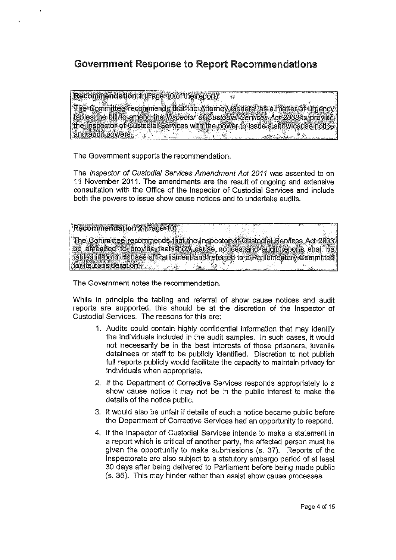## Government Response to Report Recommendations

Recommendation 1 (Page 10 of the report)

The Committee recommends that the Attorney General as a matter of urgency tables the bill to amend the *inspector of Custodial Services Act 2003* to provide the Inspector of Custodial Services with the power to issue a show cause notice and audit powers.  $\gamma_{\rm abs}$ 

 $\mathcal{L}^{\mathcal{L}}$ 

The Government supports the recommendation.

The Inspector of Custodial Services Amendment Act 2011 was assented to on 11 November 2011. The amendments are the result of ongoing and extensive consultation with the Office of the Inspector of Custodial Services and include both the powers to issue show cause notices and to undertake audits.

| Recommendation 2 (Page 10)                                                       |  |  |
|----------------------------------------------------------------------------------|--|--|
| The Committee recommends that the Inspector of Custodial Services Act 2008 1     |  |  |
| be amended to provide that show cause notices and audit reports shall be         |  |  |
| I fabled in both Houses of Parliament and referred to a Parliamentary Committee. |  |  |
| for its consideration.                                                           |  |  |

The Government notes the recommendation.

While in principle the tabling and referral of show cause notices and audit reports are supported, this should be at the discretion of the Inspector of Custodial Services. The reasons for this are:

- 1. Audits could contain highly confidential information that may identify the individuals included in the audit samples. In such cases, it would not necessarily be in the best interests of those prisoners, juvenile detainees or staff to be publicly identified. Discretion to not publish full reports publicly would facilitate the capacity to maintain privacy for individuals when appropriate.
- 2. If the Department of Corrective Services responds appropriately to a show cause notice it may not be in the public interest to make the details of the notice public.
- 3. It would also be unfair if details of such a notice became public before the Department of Corrective Services had an opportunity to respond.
- 4. If the Inspector of Custodial Services intends to make a statement in a report which is critical of another party, the affected person must be given the opportunity to make submissions (s. 37). Reports of the Inspectorate are also subject to a statutory embargo period of at least 30 days after being delivered to Parliament before being made public (s. 35). This may hinder rather than assist show cause processes.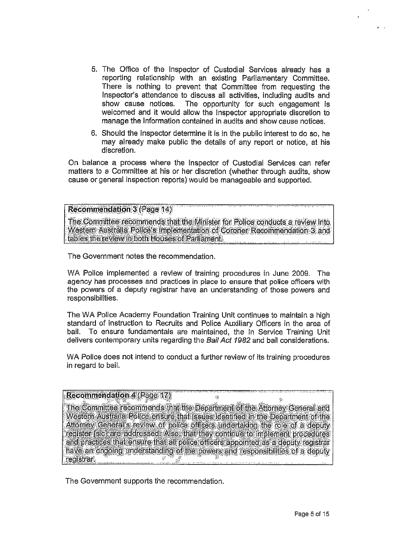- 5. The Office of the Inspector of Custodial Services already has a reporting relationship with an existing Parliamentary Committee. There is nothing to prevent that Committee from requesting the Inspector's attendance to discuss all activities, including audits and show cause notices. The opportunity for such engagement is welcomed and it would allow the Inspector appropriate discretion to manage the information contained in audits and show cause notices.
- 6. Should the Inspector determine it is in the public interest to do so, he may already make public the details of any report or notice, at his discretion.

On balance a process where the Inspector of Custodial Services can refer matters to a Committee at his or her discretion (whether through audits, show cause or general inspection reports) would be manageable and supported.

#### Recommendation 3 (Page 14)

The Committee recommends that the Minister for Police conducts a review into Western Australia Police's implementation of Coroner Recommendation 3 and tables the review in both Houses of Parliament.

The Government notes the recommendation.

WA Police implemented a review of training procedures in June 2009. The agency has processes and practices in place to ensure that police officers with the powers of a deputy registrar have an understanding of those powers and responsibilities.

The WA Police Academy Foundation Training Unit continues to maintain a high standard of instruction to Recruits and Police Auxiliary Officers in the area of bail. To ensure fundamentals are maintained, the In Service Training Unit delivers contemporary units regarding the Bail Act 1982 and bail considerations.

WA Police does not intend to conduct a further review of its training procedures in regard to bail.

 $\mathcal{L}^{\mathcal{S}}$ 

### $R$ ecommendation 4 (Page 17)

The, Committee recomniends:that:the Department of the Attorney General and Western Australia Police ensure that issues identified in the Department of the Attorney General's review of police officers undertaking the role of a deputy. register [sic] are addressed: Also, that they continue to implement procedures and practices that ensure that all police officers appointed as a deputy registrar have an drigoihg, understanding of the 'powers and fespbnsibilities of a deputy registrar

The Government supports the recommendation.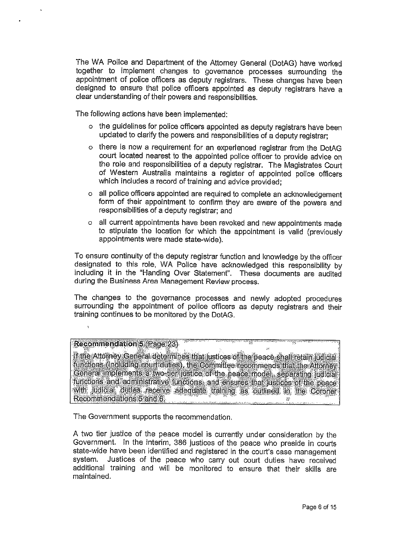The WA Police and Department of the Attorney General (DotAG) have worked together to implement changes to governance processes surrounding the appointment of police officers as deputy registrars. These changes have been designed to ensure that police officers appointed as deputy registrars have a clear understanding of their powers and responsibilities.

The following actions have been implemented:

- o the guidelines for police officers appointed as deputy registrars have been updated to clarify the powers and responsibilities of a deputy registrar;
- o there is now a requirement for an experienced registrar from the DotAG court located nearest to the appointed police officer to provide advice on the role and responsibilities of a deputy registrar. The Magistrates Court of Western Australia maintains a register of appointed police officers which includes a record of training and advice provided;
- o all police officers appointed are required to complete an acknowledgement form of their appointment to confirm they are aware of the powers and responsibilities of a deputy registrar; and
- o all current appointments have been revoked and new appointments made to stipulate the location for which the appointment is valid (previously appointments were made state-wide).

To ensure continuity of the deputy registrar function and knowledge by the officer designated to this role, WA Police have acknowledged this responsibility by including it in the "Handing Over Statement", These documents are audited during the Business Area Management Review process.

The changes to the governance processes and newly adopted procedures surrounding the appointment of police officers as deputy registrars and their training continues to be monitored by the DotAG.

## Recommendation 5 (Page-23)

If the Attorney. General determines that justices of the peace-shall retain judicial; functions (including court duties), the Committee recommends that the Attorney General-implements a two-tier justice of the peace model, separating judicial functions and administrative functions, and ensures that justices of the peace with judicial duties receive adequate training as outlined in the Coroner Recommendations 5 and 6  $\mathcal{L}_{\mathcal{L}}$ 

The Government supports the recommendation.

A two tier justice of the peace model is currently under consideration by the Government. In the interim, 386 justices of the peace who preside in courts state-wide have been identified and registered in the court's case management system. Justices of the peace who carry out court duties have received additional training and will be monitored to ensure that their skills are maintained.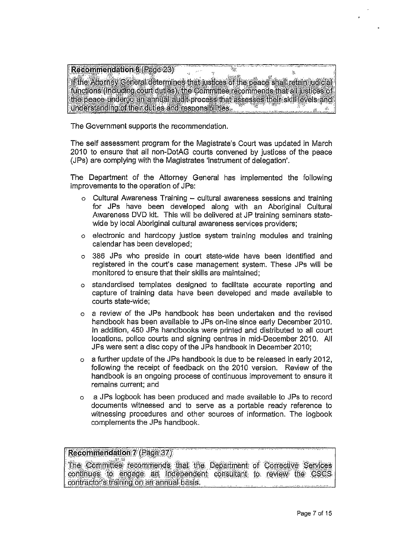Recommendation 6 (Rage 23) ą.  $\hat{M}$ If the Attorney General determines that justices of the peace shall retain judicial functions (including court duties), the Committee recommends that all justices of the peace undergo an annual audit process that assesses their skill levels and understanding of their duties and responsibilities.

The Government supports the recommendation.

The self assessment program for the Magistrate's Court was updated in March 2010 to ensure that all non-DotAG courts convened by justices of the peace (JPs) are complying with the Magistrates 'instrument of delegation'.

The Department of the Attorney General has implemented the following improvements to the operation of JPs:

- o Cultural Awareness Training cultural awareness sessions and training for JPs have been developed along with an Aboriginal Cultural Awareness DVD kit. This will be delivered at JP training seminars statewide by local Aboriginal cultural awareness services providers;
- o electronic and hardcopy justice system training modules and training calendar has been developed:
- o 386 JPs who preside in court state-wide have been identified and registered in the court's case management system. These JPs will be monitored to ensure that their skills are maintained:
- o standardised templates designed to facilitate accurate reporting and capture of training data have been developed and made available to courts state-wide:
- o a review of the JPs handbook has been undertaken and the revised handbook has been available to JPs on-line since early December 2010. In addition, 450 JPs handbooks were printed and distributed to all court locations, police courts and signing centres in mid-December 2010. All JPs were sent a disc copy of the JPs handbook in December 2010;
- o a further update of the JPs handbook is due to be released in early 2012. following the receipt of feedback on the 2010 version. Review of the handbook is an ongoing process of continuous improvement to ensure it remains current; and
- a JPs logbook has been produced and made available to JPs to record  $\Omega$ documents witnessed and to serve as a portable ready reference to witnessing procedures and other sources of information. The logbook complements the JPs handbook.

**Recommendation 7 (Page 37)** 

The Committee recommends that the Department of Corrective Services continues to engage an independent consultant to review the CSCS contractor's training on an annual basis.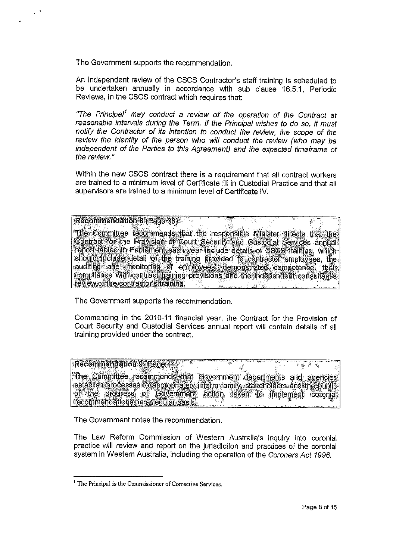The Government supports the recommendation.

An independent review of the CSCS Contractor's staff training is scheduled to be undertaken annually in accordance with sub clause 16.5.1, Periodic Reviews. in the CSCS contract which requires that:

"The Principal<sup>1</sup> may conduct a review of the operation of the Contract at reasonable intervals during the Term. If the Principal wishes to do so, it must notify the Contractor of its intention to conduct the review, the scope of the review the identity of the person who will conduct the review (who may be independent of the Parties to this Agreement) and the expected timeframe of the review."

Within the new CSCS contract there is a requirement that all contract workers are trained to a minimum level of Certificate III in Custodial Practice and that all supervisors are trained to a minimum level of Certificate IV.

**Recommendation 8 (Page 38)** 

The Committee recommends that the responsible Minister directs that the Contract for the Provision of Court Security and Custodial Services annual report fabled in Parliament each year holude details of CSCS training, which should include detail of the training provided to contractor employees, the auditing and monitoring of employees demonstrated competence, their compliance with contract training provisions and the independent consultants. review of the contractor's training.

The Government supports the recommendation.

Commencing in the 2010-11 financial year, the Contract for the Provision of Court Security and Custodial Services annual report will contain details of all training provided under the contract.

Recommendation 9 (Page 44) 平野 展 学 ng<br>B The Committee recommends that Government departments and agencies establish processes to appropriately inform family, stakeholders and the public of the progress of Government action taken to implement coronial recommendations on a regular basis.

The Government notes the recommendation.

The Law Reform Commission of Western Australia's inquiry into coronial practice will review and report on the jurisdiction and practices of the coronial system in Western Australia, including the operation of the Coroners Act 1996.

<sup>&</sup>lt;sup>1</sup> The Principal is the Commissioner of Corrective Services.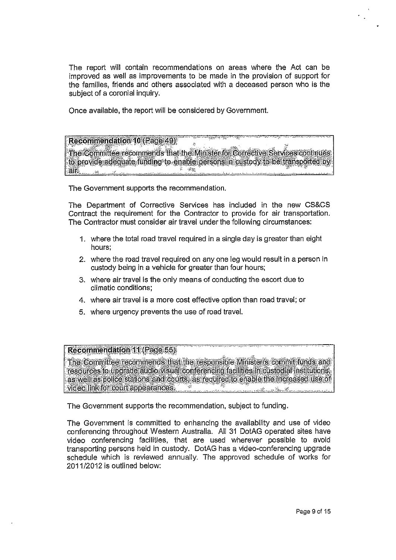The report will contain recommendations on areas where the Act can be improved as well as improvements to be made in the provision of support for the families, friends and others associated with a deceased person who is the subject of a coronial inquiry.

Once available, the report will be considered by Government.

### Recommendation 10 (Page 49)

The Committee recommends that the Minister for Corrective Services continues: to provide adequate funding-to-enable persons in custody to be transported by.<br>all air.

The Government supports the recommendation.

The Department of Corrective Services has included in the new CS&CS Contract the requirement for the Contractor to provide for air transportation. The Contractor must consider air travel under the following circumstances:

- 1. where the total road travel required in a single day is greater than eight hours;
- 2. where the road travel required on any one leg would result in a person in custody being in a vehicle for greater than four hours;
- 3. where air travel is the only means of conducting the escort due to climatic conditions;
- 4. where air travel is a more cost effective option than road travel; or
- 5. where urgency prevents the use of road travel.

## Recommendation 11 (Fade 55)

The Committee recommends, that the responsible Minister/s commit funds and resources to upgrade audio-visual conferencing facilities in custodial institutions, as well as police stations and courts, as required to enable-the-increased use of .video link fbr"court appearances

The Government supports the recommendation, subject to funding.

The Government is committed to enhancing the availability and use of video conferencing throughout Western Australia. All 31 DotAG operated sites have video conferencing facilities, that are used wherever possible to avoid transporting persons held in custody. DotAG has a video-conferencing upgrade schedule which is reviewed annually. The approved schedule of works for 2011/2012 is outlined below: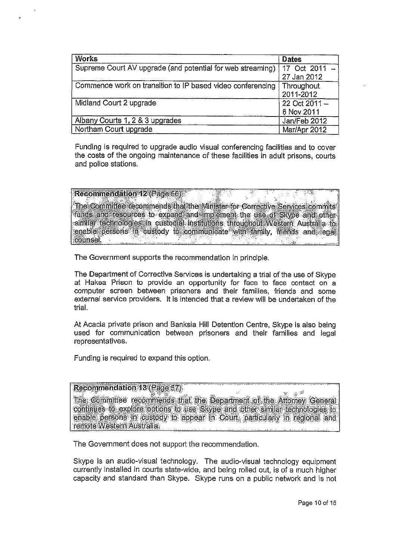| <b>Works</b>                                               | <b>Dates</b>                 |
|------------------------------------------------------------|------------------------------|
| Supreme Court AV upgrade (and potential for web streaming) | 17 Oct 2011 -<br>27 Jan 2012 |
| Commence work on transition to IP based video conferencing | Throughout<br>2011-2012      |
| Midland Court 2 upgrade                                    | 22 Oct 2011 -<br>6 Nov 2011  |
| Albany Courts 1, 2 & 3 upgrades                            | Jan/Feb 2012                 |
| Northam Court upgrade                                      | Mar/Apr 2012                 |

Funding is required to upgrade audio visual conferencing facilities and to cover the costs of the ongoing maintenance of these facilities in adult prisons, courts and police stations.

Recommendation 12 (Page 56) The Committee recommends that the Minister for Corrective Services commits funds and resources to expand and implement the use of Skype and other similar technologies in custodial institutions throughout Western Australia to enable persons in oustody to communicate with family, friends and legal counsel.

The Government supports the recommendation in principle.

The Department of Corrective Services is undertaking a trial of the use of Skype at Hakea Prison to provide an opportunity for face to face contact on a computer screen between prisoners and their families, friends and some external service providers. It is intended that a review will be undertaken of the trial.

At Acacia private prison and Banksia Hill Detention Centre, Skype is also being used for communication between prisoners and their families and legal representatives.

Funding is required to expand this option.

#### Recommendation 13 (Page 57)

 $\mathcal{G}^{-1\mathcal{G}}$ The Committee recommends that the Department of the Attorney General continues to explore options to use Skype and other similar technologies to enable persons in custody to appear in Court, particularly in regional and remote Western Australia.

The Government does not support the recommendation.

Skype is an audio-visual technology. The audio-visual technology equipment currently installed in courts state-wide, and being rolled out, is of a much higher capacity and standard than Skype. Skype runs on a public network and is not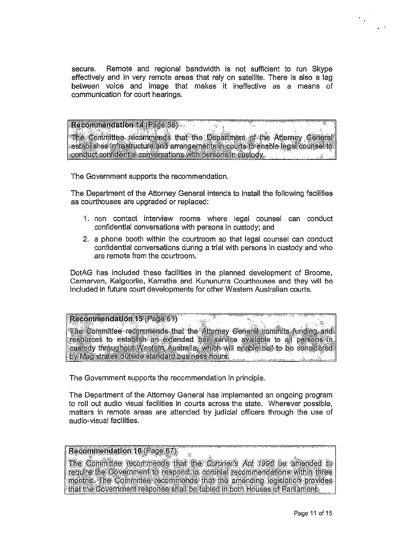Remote and regional bandwidth is not sufficient to run Skype secure. effectively and in very remote areas that rely on satellite. There is also a lag between voice and image that makes it ineffective as a means of communication for court hearings.

Recommendation 14 (Page 58) W, The Committee recommends that the Department of the Attorney General establishes infrastructure and arrangements in courts to enable legal courtsel to conduct confidential conversations with persons in custody.

The Government supports the recommendation.

The Department of the Attorney General intends to install the following facilities as courthouses are upgraded or replaced:

- 1. non contact interview rooms where legal counsel can conduct confidential conversations with persons in custody; and
- 2. a phone booth within the courtroom so that legal counsel can conduct confidential conversations during a trial with persons in custody and who are remote from the courtroom.

DotAG has included these facilities in the planned development of Broome, Carnarvon, Kalgoorlie, Karratha and Kununurra Courthouses and they will be included in future court developments for other Western Australian courts.

#### Recommendation 15 (Page 61)

 $\sim$ The Committee recommends that the Attorney General commits funding and resources to establish an extended ball service available to all persons in custody throughout Western Australia, which will enable bail to be considered by Magistrates outside standard business hours.

The Government supports the recommendation in principle.

The Department of the Attorney General has implemented an ongoing program to roll out audio visual facilities in courts across the state. Wherever possible. matters in remote areas are attended by judicial officers through the use of audio-visual facilities.

### Recommendation 16 (Page 67)

The Committee recommends that the Coroner's Act 1996 be amended to require the Government to respond to coronial recommendations within three months. The Committee recommends that the amending legislation provides that the Government response shall be tabled in both Houses of Parliament.

 $\hat{w}$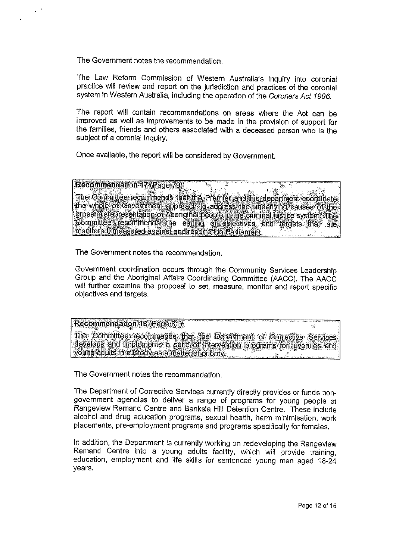The Government notes the recommendation.

The Law Reform Commission of Western Australia's inquiry into coronial practice will review and report on the jurisdiction and practices of the coronial system in Western Australia, including the operation of the Coroners Act 1996.

The report will contain recommendations on areas where the Act can be improved as well as improvements to be made in the provision of support for the families, friends and others associated with a deceased person who is the subject of a coronial inquiry.

Once available, the report will be considered by Government.

## Recommendation 17 (Page 79)

The Committee recommends that the Premier and his department coordinate the whole of Government approach to address the underlying causes of the gross misrepresentation of Aboriginal people in the criminal justice system. The Committee recommends the setting of objectives and targets that are monitored, measured against and reported to Parliament.

Y,

The Government notes the recommendation.

Government coordination occurs through the Community Services Leadership Group and the Aboriginal Affairs Coordinating Committee (AACC). The AACC will further examine the proposal to set, measure, monitor and report specific objectives and targets.

#### Recommendation 18 (Page 81).

The Committee recommends that the Department of Corrective Services develops and implements a suite of intervention programs for juveniles and young adults in custody as a matter of priority.  $\Delta \mathcal{R}^{\pm}$ 

The Government notes the recommendation.

The Department of Corrective Services currently directly provides or funds nongovernment agencies to deliver a range of programs for young people at Rangeview Remand Centre and Banksia Hill Detention Centre. These include alcohol and drug education programs, sexual health, harm minimisation, work placements, pre-employment programs and programs specifically for females.

In addition, the Department is currently working on redeveloping the Rangeview Remand Centre into a young adults facility, which will provide training, education, employment and life skills for sentenced young men aged 18-24 years.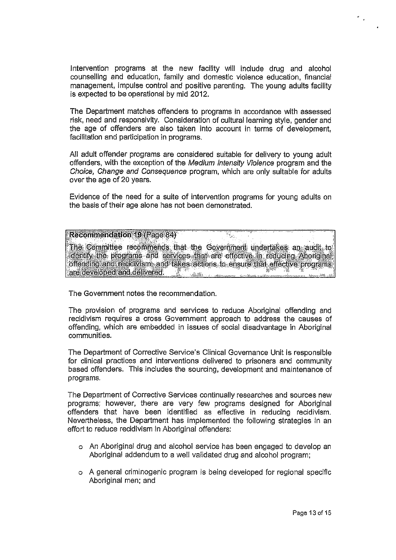Intervention programs at the new facility will include drug and alcohol counselling and education, family and domestic violence education, financial management, impulse control and positive parenting. The young adults facility is expected to be operational by mid 2012.

The Department matches offenders to programs in accordance with assessed risk, need and responsivity. Consideration of cultural learning style, gender and the age of offenders are also taken into account in terms of development, facilitation and participation in programs.

All adult offender programs are considered suitable for delivery to young adult offenders, with the exception of the Medium Intensity Violence program and the Choice, Change and Consequence program, which are only suitable for adults over the age of 20 years.

Evidence of the need for a suite of intervention programs for young adults on the basis of their age alone has not been demonstrated.

#### Recommendation 19 (Page 84)

The Committee recommends that the Government undertakes an audit to identify the programs and services that are effective in reducing Aboriginal offending and recidivism, and takes actions to ensure that effective programs 44 C. L are developed and delivered.

The Government notes the recommendation.

The provision of programs and services to reduce Aboriginal offending and recidivism requires a cross Government approach to address the causes of offending, which are embedded in issues of social disadvantage in Aboriginal communities.

The Department of Corrective Service's Clinical Governance Unit is responsible for clinical practices and interventions delivered to prisoners and community based offenders. This includes the sourcing, development and maintenance of programs.

The Department of Corrective Services continually researches and sources new programs; however, there are very few programs designed for Aboriginal offenders that have been identified as effective in reducing recidivism. Nevertheless, the Department has implemented the following strategies in an effort to reduce recidivism in Aboriginal offenders:

- o An Aboriginal drug and alcohol service has been engaged to develop an Aboriginal addendum to a well validated drug and alcohol program;
- o A general criminogenic program is being developed for regional specific Aboriginal men; and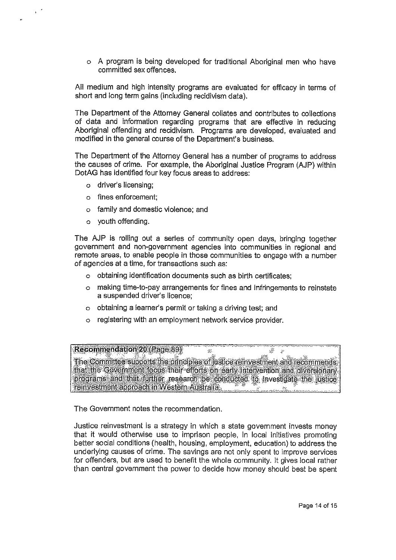A program is being developed for traditional Aboriginal men who have committed sex offences.

All medium and high intensity programs are evaluated for efficacy in terms of short and long term gains (including recidivism data).

The Department of the Attorney General collates and contributes to collections of data and information regarding programs that are effective in reducing Aboriginal offending and recidivism. Programs are developed, evaluated and modified in the general course of the Department's business.

The Department of the Attorney General has a number of programs to address the causes of crime. For example, the Aboriginal Justice Program (AJP) within DotAG has identified four key focus areas to address:

- o driver's licensing;
- o fines enforcement;
- o family and domestic violence; and
- o youth offending.

The AJP is rolling out a series of community open days, bringing together government and non-government agencies into communities in regional and remote areas, to enable people in those communities to engage with a number of agencies at a time, for transactions such as:

- o obtaining identification documents such as birth certificates;
- o making time-to-pay arrangements for fines and infringements to reinstate a suspended driver's licence;
- o obtaining a learner's permit or taking a driving test; and
- o registering with an employment network service provider.

Recommendation 20 (Page 89)

The Committee supports the principles of justice reinvestment and Tecommendsthat the Government focus their efforts on early intervention and diversionary programs and that further research be conducted, to investigate the justice reinvestment approach in Western Australia.

 $\lesssim$ 

Ä

 $\mathcal{L}$ 

The Government notes the recommendation.

Justice reinvestment is a strategy in which a state government invests money that it would otherwise use to imprison people, in local initiatives promoting better social conditions (health, housing, employment, education) to address the underlying causes of crime. The savings are not only spent to improve services for offenders, but are used to benefit the whole community. It gives local rather than central government the power to decide how money should best be spent